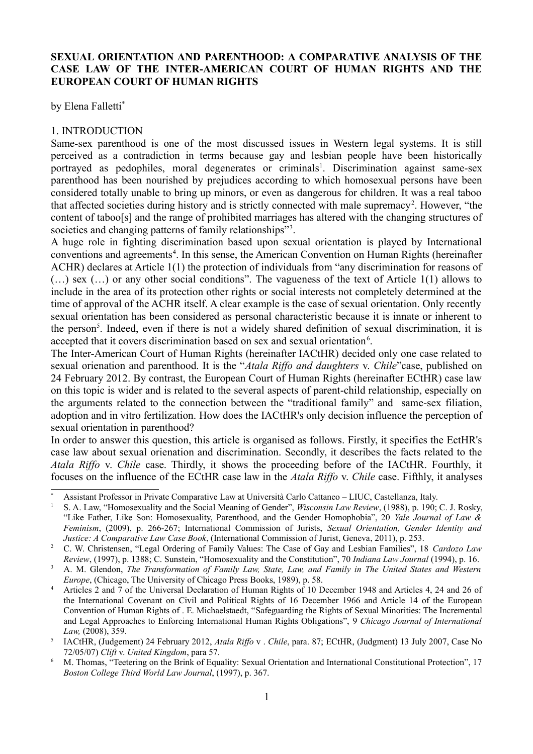# **SEXUAL ORIENTATION AND PARENTHOOD: A COMPARATIVE ANALYSIS OF THE CASE LAW OF THE INTER-AMERICAN COURT OF HUMAN RIGHTS AND THE EUROPEAN COURT OF HUMAN RIGHTS**

by Elena Falletti[\\*](#page-0-0)

## 1. INTRODUCTION

Same-sex parenthood is one of the most discussed issues in Western legal systems. It is still perceived as a contradiction in terms because gay and lesbian people have been historically portrayed as pedophiles, moral degenerates or criminals<sup>[1](#page-0-1)</sup>. Discrimination against same-sex parenthood has been nourished by prejudices according to which homosexual persons have been considered totally unable to bring up minors, or even as dangerous for children. It was a real taboo that affected societies during history and is strictly connected with male supremacy<sup>[2](#page-0-2)</sup>. However, "the content of taboo[s] and the range of prohibited marriages has altered with the changing structures of societies and changing patterns of family relationships"<sup>[3](#page-0-3)</sup>.

A huge role in fighting discrimination based upon sexual orientation is played by International conventions and agreements<sup>[4](#page-0-4)</sup>. In this sense, the American Convention on Human Rights (hereinafter ACHR) declares at Article 1(1) the protection of individuals from "any discrimination for reasons of (…) sex (…) or any other social conditions". The vagueness of the text of Article 1(1) allows to include in the area of its protection other rights or social interests not completely determined at the time of approval of the ACHR itself. A clear example is the case of sexual orientation. Only recently sexual orientation has been considered as personal characteristic because it is innate or inherent to the person<sup>[5](#page-0-5)</sup>. Indeed, even if there is not a widely shared definition of sexual discrimination, it is accepted that it covers discrimination based on sex and sexual orientation $6$ .

The Inter-American Court of Human Rights (hereinafter IACtHR) decided only one case related to sexual orienation and parenthood. It is the "*Atala Riffo and daughters* v. *Chile*"case, published on 24 February 2012. By contrast, the European Court of Human Rights (hereinafter ECtHR) case law on this topic is wider and is related to the several aspects of parent-child relationship, especially on the arguments related to the connection between the "traditional family" and same-sex filiation, adoption and in vitro fertilization. How does the IACtHR's only decision influence the perception of sexual orientation in parenthood?

In order to answer this question, this article is organised as follows. Firstly, it specifies the EctHR's case law about sexual orienation and discrimination. Secondly, it describes the facts related to the *Atala Riffo* v. *Chile* case. Thirdly, it shows the proceeding before of the IACtHR. Fourthly, it focuses on the influence of the ECtHR case law in the *Atala Riffo* v. *Chile* case. Fifthly, it analyses

<span id="page-0-0"></span><sup>\*</sup> Assistant Professor in Private Comparative Law at Università Carlo Cattaneo – LIUC, Castellanza, Italy.

<span id="page-0-1"></span><sup>1</sup> S. A. Law, "Homosexuality and the Social Meaning of Gender", *Wisconsin Law Review*, (1988), p. 190; C. J. Rosky, "Like Father, Like Son: Homosexuality, Parenthood, and the Gender Homophobia", 20 *Yale Journal of Law & Feminism*, (2009), p. 266-267; International Commission of Jurists, *Sexual Orientation, Gender Identity and Justice: A Comparative Law Case Book*, (International Commission of Jurist, Geneva, 2011), p. 253.

<span id="page-0-2"></span><sup>2</sup> C. W. Christensen, "Legal Ordering of Family Values: The Case of Gay and Lesbian Families", 18 *Cardozo Law Review*, (1997), p. 1388; C. Sunstein, "Homosexuality and the Constitution", 70 *Indiana Law Journal* (1994), p. 16.

<span id="page-0-3"></span><sup>3</sup> A. M. Glendon, *The Transformation of Family Law, State, Law, and Family in The United States and Western Europe*, (Chicago, The University of Chicago Press Books, 1989), p. 58.

<span id="page-0-4"></span><sup>4</sup> Articles 2 and 7 of the Universal Declaration of Human Rights of 10 December 1948 and Articles 4, 24 and 26 of the International Covenant on Civil and Political Rights of 16 December 1966 and Article 14 of the European Convention of Human Rights of . E. Michaelstaedt, "Safeguarding the Rights of Sexual Minorities: The Incremental and Legal Approaches to Enforcing International Human Rights Obligations", 9 *Chicago Journal of International Law,* (2008), 359.

<span id="page-0-5"></span><sup>5</sup> IACtHR, (Judgement) 24 February 2012, *Atala Riffo* v . *Chile*, para. 87; ECtHR, (Judgment) 13 July 2007, Case No 72/05/07) *Clift* v. *United Kingdom*, para 57.

<span id="page-0-6"></span><sup>6</sup> M. Thomas, "Teetering on the Brink of Equality: Sexual Orientation and International Constitutional Protection", 17 *Boston College Third World Law Journal*, (1997), p. 367.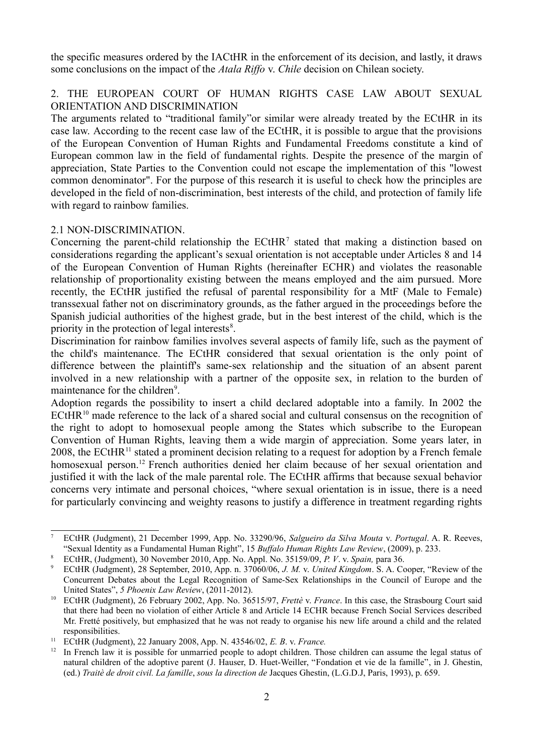the specific measures ordered by the IACtHR in the enforcement of its decision, and lastly, it draws some conclusions on the impact of the *Atala Riffo* v. *Chile* decision on Chilean society.

# 2. THE EUROPEAN COURT OF HUMAN RIGHTS CASE LAW ABOUT SEXUAL ORIENTATION AND DISCRIMINATION

The arguments related to "traditional family"or similar were already treated by the ECtHR in its case law. According to the recent case law of the ECtHR, it is possible to argue that the provisions of the European Convention of Human Rights and Fundamental Freedoms constitute a kind of European common law in the field of fundamental rights. Despite the presence of the margin of appreciation, State Parties to the Convention could not escape the implementation of this "lowest common denominator". For the purpose of this research it is useful to check how the principles are developed in the field of non-discrimination, best interests of the child, and protection of family life with regard to rainbow families.

# 2.1 NON-DISCRIMINATION.

Concerning the parent-child relationship the  $ECHIR<sup>7</sup>$  $ECHIR<sup>7</sup>$  $ECHIR<sup>7</sup>$  stated that making a distinction based on considerations regarding the applicant's sexual orientation is not acceptable under Articles 8 and 14 of the European Convention of Human Rights (hereinafter ECHR) and violates the reasonable relationship of proportionality existing between the means employed and the aim pursued. More recently, the ECtHR justified the refusal of parental responsibility for a MtF (Male to Female) transsexual father not on discriminatory grounds, as the father argued in the proceedings before the Spanish judicial authorities of the highest grade, but in the best interest of the child, which is the priority in the protection of legal interests<sup>[8](#page-1-1)</sup>.

Discrimination for rainbow families involves several aspects of family life, such as the payment of the child's maintenance. The ECtHR considered that sexual orientation is the only point of difference between the plaintiff's same-sex relationship and the situation of an absent parent involved in a new relationship with a partner of the opposite sex, in relation to the burden of maintenance for the children<sup>[9](#page-1-2)</sup>.

Adoption regards the possibility to insert a child declared adoptable into a family. In 2002 the ECtHR $^{10}$  $^{10}$  $^{10}$  made reference to the lack of a shared social and cultural consensus on the recognition of the right to adopt to homosexual people among the States which subscribe to the European Convention of Human Rights, leaving them a wide margin of appreciation. Some years later, in 2008, the ECtHR<sup>[11](#page-1-4)</sup> stated a prominent decision relating to a request for adoption by a French female homosexual person.<sup>[12](#page-1-5)</sup> French authorities denied her claim because of her sexual orientation and justified it with the lack of the male parental role. The ECtHR affirms that because sexual behavior concerns very intimate and personal choices, "where sexual orientation is in issue, there is a need for particularly convincing and weighty reasons to justify a difference in treatment regarding rights

<span id="page-1-0"></span><sup>7</sup> ECtHR (Judgment), 21 December 1999, App. No. 33290/96, *Salgueiro da Silva Mouta* v. *Portugal*. A. R. Reeves, "Sexual Identity as a Fundamental Human Right", 15 *Buffalo Human Rights Law Review*, (2009), p. 233.

<span id="page-1-1"></span><sup>8</sup> ECtHR, (Judgment), 30 November 2010, App. No. Appl. No. 35159/09, *P. V*. v. *Spain,* para 36.

<span id="page-1-2"></span><sup>9</sup> ECtHR (Judgment), 28 September, 2010, App. n. 37060/06, *J. M.* v. *United Kingdom*. S. A. Cooper, "Review of the Concurrent Debates about the Legal Recognition of Same-Sex Relationships in the Council of Europe and the United States", *5 Phoenix Law Review*, (2011-2012).

<span id="page-1-3"></span><sup>10</sup> ECtHR (Judgment), 26 February 2002, App. No. 36515/97, *Frettè* v. *France*. In this case, the Strasbourg Court said that there had been no violation of either Article 8 and Article 14 ECHR because French Social Services described Mr. Fretté positively, but emphasized that he was not ready to organise his new life around a child and the related responsibilities.

<span id="page-1-4"></span><sup>11</sup> ECtHR (Judgment), 22 January 2008, App. N. 43546/02, *E. B*. v. *France.*

<span id="page-1-5"></span> $12$  In French law it is possible for unmarried people to adopt children. Those children can assume the legal status of natural children of the adoptive parent (J. Hauser, D. Huet-Weiller, "Fondation et vie de la famille", in J. Ghestin, (ed.) *Traitè de droit civil. La famille*, *sous la direction de* Jacques Ghestin, (L.G.D.J, Paris, 1993), p. 659.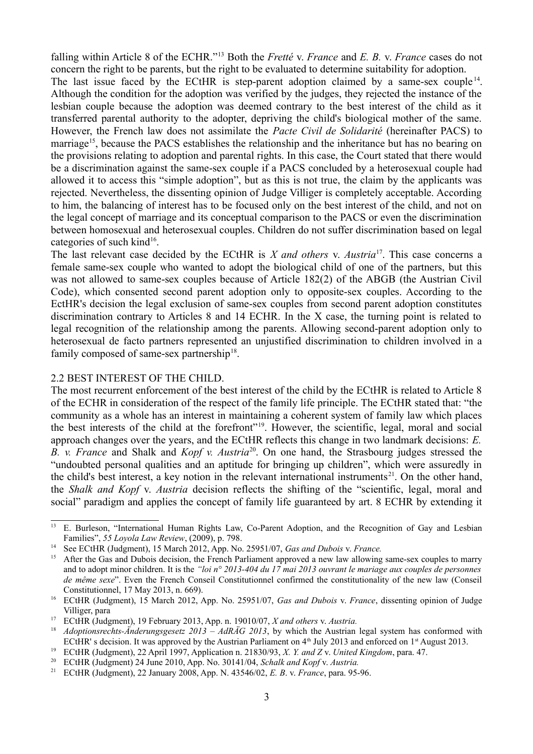falling within Article 8 of the ECHR."[13](#page-2-0) Both the *Fretté* v. *France* and *E. B.* v. *France* cases do not concern the right to be parents, but the right to be evaluated to determine suitability for adoption.

The last issue faced by the ECtHR is step-parent adoption claimed by a same-sex couple<sup>[14](#page-2-1)</sup>. Although the condition for the adoption was verified by the judges, they rejected the instance of the lesbian couple because the adoption was deemed contrary to the best interest of the child as it transferred parental authority to the adopter, depriving the child's biological mother of the same. However, the French law does not assimilate the *Pacte Civil de Solidarité* (hereinafter PACS) to marriage<sup>[15](#page-2-2)</sup>, because the PACS establishes the relationship and the inheritance but has no bearing on the provisions relating to adoption and parental rights. In this case, the Court stated that there would be a discrimination against the same-sex couple if a PACS concluded by a heterosexual couple had allowed it to access this "simple adoption", but as this is not true, the claim by the applicants was rejected. Nevertheless, the dissenting opinion of Judge Villiger is completely acceptable. According to him, the balancing of interest has to be focused only on the best interest of the child, and not on the legal concept of marriage and its conceptual comparison to the PACS or even the discrimination between homosexual and heterosexual couples. Children do not suffer discrimination based on legal categories of such kind<sup>[16](#page-2-3)</sup>.

The last relevant case decided by the ECtHR is *X and others* v. *Austria*[17](#page-2-4). This case concerns a female same-sex couple who wanted to adopt the biological child of one of the partners, but this was not allowed to same-sex couples because of Article 182(2) of the ABGB (the Austrian Civil Code), which consented second parent adoption only to opposite-sex couples. According to the EctHR's decision the legal exclusion of same-sex couples from second parent adoption constitutes discrimination contrary to Articles 8 and 14 ECHR. In the X case, the turning point is related to legal recognition of the relationship among the parents. Allowing second-parent adoption only to heterosexual de facto partners represented an unjustified discrimination to children involved in a family composed of same-sex partnership<sup>[18](#page-2-5)</sup>.

#### 2.2 BEST INTEREST OF THE CHILD.

The most recurrent enforcement of the best interest of the child by the ECtHR is related to Article 8 of the ECHR in consideration of the respect of the family life principle. The ECtHR stated that: "the community as a whole has an interest in maintaining a coherent system of family law which places the best interests of the child at the forefront"[19](#page-2-6). However, the scientific, legal, moral and social approach changes over the years, and the ECtHR reflects this change in two landmark decisions: *E. B. v. France* and Shalk and *Kopf v. Austria*<sup>[20](#page-2-7)</sup>. On one hand, the Strasbourg judges stressed the "undoubted personal qualities and an aptitude for bringing up children", which were assuredly in the child's best interest, a key notion in the relevant international instruments<sup>[21](#page-2-8)</sup>. On the other hand, the *Shalk and Kopf* v. *Austria* decision reflects the shifting of the "scientific, legal, moral and social" paradigm and applies the concept of family life guaranteed by art. 8 ECHR by extending it

<span id="page-2-0"></span><sup>&</sup>lt;sup>13</sup> E. Burleson, "International Human Rights Law, Co-Parent Adoption, and the Recognition of Gay and Lesbian Families", *55 Loyola Law Review*, (2009), p. 798.

<span id="page-2-1"></span><sup>14</sup> See ECtHR (Judgment), 15 March 2012, App. No. 25951/07, *Gas and Dubois* v. *France.*

<span id="page-2-2"></span>After the Gas and Dubois decision, the French Parliament approved a new law allowing same-sex couples to marry and to adopt minor children. It is the *"loi n° 2013-404 du 17 mai 2013 ouvrant le mariage aux couples de personnes de même sexe*". Even the French Conseil Constitutionnel confirmed the constitutionality of the new law (Conseil Constitutionnel, 17 May 2013, n. 669).

<span id="page-2-3"></span><sup>16</sup> ECtHR (Judgment), 15 March 2012, App. No. 25951/07, *Gas and Dubois* v. *France*, dissenting opinion of Judge Villiger, para

<span id="page-2-4"></span><sup>17</sup> ECtHR (Judgment), 19 February 2013, App. n. 19010/07, *X and others* v. *Austria.*

<span id="page-2-5"></span><sup>18</sup> *Adoptionsrechts-Änderungsgesetz 2013 – AdRÄG 2013*, by which the Austrian legal system has conformed with ECtHR' s decision. It was approved by the Austrian Parliament on  $4<sup>th</sup>$  July 2013 and enforced on  $1<sup>st</sup>$  August 2013.

<span id="page-2-6"></span><sup>19</sup> ECtHR (Judgment), 22 April 1997, Application n. 21830/93, *X. Y. and Z* v. *United Kingdom*, para. 47.

<span id="page-2-7"></span><sup>20</sup> ECtHR (Judgment) 24 June 2010, App. No. 30141/04, *Schalk and Kopf* v. *Austria.*

<span id="page-2-8"></span><sup>21</sup> ECtHR (Judgment), 22 January 2008, App. N. 43546/02, *E. B*. v. *France*, para. 95-96.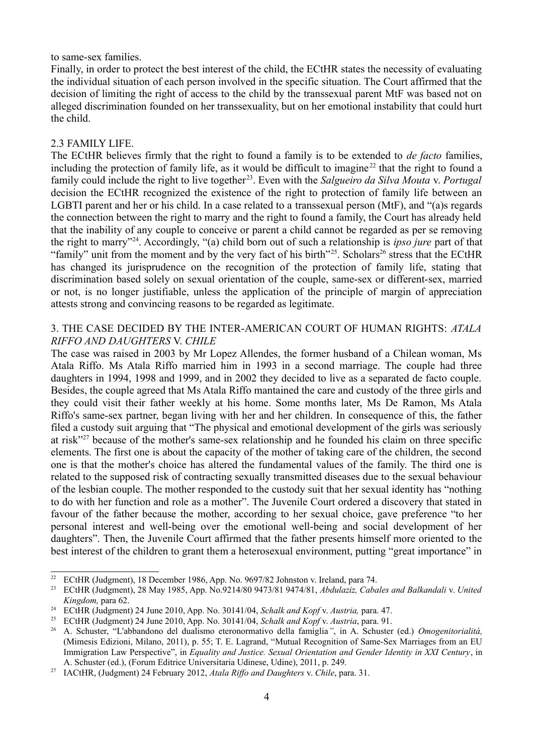#### to same-sex families.

Finally, in order to protect the best interest of the child, the ECtHR states the necessity of evaluating the individual situation of each person involved in the specific situation. The Court affirmed that the decision of limiting the right of access to the child by the transsexual parent MtF was based not on alleged discrimination founded on her transsexuality, but on her emotional instability that could hurt the child.

## 2.3 FAMILY LIFE.

The ECtHR believes firmly that the right to found a family is to be extended to *de facto* families, including the protection of family life, as it would be difficult to imagine<sup>[22](#page-3-0)</sup> that the right to found a family could include the right to live together [23](#page-3-1). Even with the *Salgueiro da Silva Mouta* v. *Portugal* decision the ECtHR recognized the existence of the right to protection of family life between an LGBTI parent and her or his child. In a case related to a transsexual person (MtF), and "(a)s regards the connection between the right to marry and the right to found a family, the Court has already held that the inability of any couple to conceive or parent a child cannot be regarded as per se removing the right to marry"[24](#page-3-2). Accordingly, "(a) child born out of such a relationship is *ipso jure* part of that "family" unit from the moment and by the very fact of his birth"<sup>[25](#page-3-3)</sup>. Scholars<sup>[26](#page-3-4)</sup> stress that the ECtHR has changed its jurisprudence on the recognition of the protection of family life, stating that discrimination based solely on sexual orientation of the couple, same-sex or different-sex, married or not, is no longer justifiable, unless the application of the principle of margin of appreciation attests strong and convincing reasons to be regarded as legitimate.

# 3. THE CASE DECIDED BY THE INTER-AMERICAN COURT OF HUMAN RIGHTS: *ATALA RIFFO AND DAUGHTERS* V. *CHILE*

The case was raised in 2003 by Mr Lopez Allendes, the former husband of a Chilean woman, Ms Atala Riffo. Ms Atala Riffo married him in 1993 in a second marriage. The couple had three daughters in 1994, 1998 and 1999, and in 2002 they decided to live as a separated de facto couple. Besides, the couple agreed that Ms Atala Riffo mantained the care and custody of the three girls and they could visit their father weekly at his home. Some months later, Ms De Ramon, Ms Atala Riffo's same-sex partner, began living with her and her children. In consequence of this, the father filed a custody suit arguing that "The physical and emotional development of the girls was seriously at risk"[27](#page-3-5) because of the mother's same-sex relationship and he founded his claim on three specific elements. The first one is about the capacity of the mother of taking care of the children, the second one is that the mother's choice has altered the fundamental values of the family. The third one is related to the supposed risk of contracting sexually transmitted diseases due to the sexual behaviour of the lesbian couple. The mother responded to the custody suit that her sexual identity has "nothing to do with her function and role as a mother". The Juvenile Court ordered a discovery that stated in favour of the father because the mother, according to her sexual choice, gave preference "to her personal interest and well-being over the emotional well-being and social development of her daughters". Then, the Juvenile Court affirmed that the father presents himself more oriented to the best interest of the children to grant them a heterosexual environment, putting "great importance" in

<span id="page-3-0"></span><sup>&</sup>lt;sup>22</sup> ECtHR (Judgment), 18 December 1986, App. No. 9697/82 Johnston v. Ireland, para 74.<br><sup>23</sup> ECtHR (Judgment), 28 May 1985, App. No. 9214/80 9473/81 9474/81, Abdulariz, Caba

<span id="page-3-1"></span><sup>23</sup> ECtHR (Judgment), 28 May 1985, App. No.9214/80 9473/81 9474/81, *Abdulaziz, Cabales and Balkandali* v. *United Kingdom,* para 62.

<span id="page-3-2"></span><sup>24</sup> ECtHR (Judgment) 24 June 2010, App. No. 30141/04, *Schalk and Kopf* v. *Austria,* para. 47.

<span id="page-3-3"></span><sup>25</sup> ECtHR (Judgment) 24 June 2010, App. No. 30141/04, *Schalk and Kopf* v. *Austria*, para. 91.

<span id="page-3-4"></span><sup>26</sup> A. Schuster, "L'abbandono del dualismo eteronormativo della famiglia*"*, in A. Schuster (ed.) *Omogenitorialità,* (Mimesis Edizioni, Milano, 2011), p. 55; T. E. Lagrand, "Mutual Recognition of Same-Sex Marriages from an EU Immigration Law Perspective", in *Equality and Justice. Sexual Orientation and Gender Identity in XXI Century*, in A. Schuster (ed.), (Forum Editrice Universitaria Udinese, Udine), 2011, p. 249.

<span id="page-3-5"></span><sup>27</sup> IACtHR, (Judgment) 24 February 2012, *Atala Riffo and Daughters* v. *Chile*, para. 31.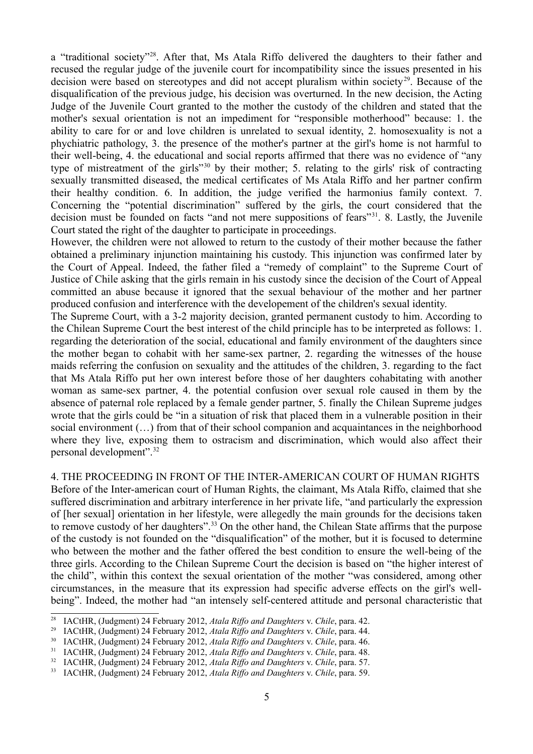a "traditional society"<sup>[28](#page-4-0)</sup>. After that, Ms Atala Riffo delivered the daughters to their father and recused the regular judge of the juvenile court for incompatibility since the issues presented in his decision were based on stereotypes and did not accept pluralism within society<sup>[29](#page-4-1)</sup>. Because of the disqualification of the previous judge, his decision was overturned. In the new decision, the Acting Judge of the Juvenile Court granted to the mother the custody of the children and stated that the mother's sexual orientation is not an impediment for "responsible motherhood" because: 1. the ability to care for or and love children is unrelated to sexual identity, 2. homosexuality is not a phychiatric pathology, 3. the presence of the mother's partner at the girl's home is not harmful to their well-being, 4. the educational and social reports affirmed that there was no evidence of "any type of mistreatment of the girls"[30](#page-4-2) by their mother; 5. relating to the girls' risk of contracting sexually transmitted diseased, the medical certificates of Ms Atala Riffo and her partner confirm their healthy condition. 6. In addition, the judge verified the harmonius family context. 7. Concerning the "potential discrimination" suffered by the girls, the court considered that the decision must be founded on facts "and not mere suppositions of fears"<sup>[31](#page-4-3)</sup>. 8. Lastly, the Juvenile Court stated the right of the daughter to participate in proceedings.

However, the children were not allowed to return to the custody of their mother because the father obtained a preliminary injunction maintaining his custody. This injunction was confirmed later by the Court of Appeal. Indeed, the father filed a "remedy of complaint" to the Supreme Court of Justice of Chile asking that the girls remain in his custody since the decision of the Court of Appeal committed an abuse because it ignored that the sexual behaviour of the mother and her partner produced confusion and interference with the developement of the children's sexual identity.

The Supreme Court, with a 3-2 majority decision, granted permanent custody to him. According to the Chilean Supreme Court the best interest of the child principle has to be interpreted as follows: 1. regarding the deterioration of the social, educational and family environment of the daughters since the mother began to cohabit with her same-sex partner, 2. regarding the witnesses of the house maids referring the confusion on sexuality and the attitudes of the children, 3. regarding to the fact that Ms Atala Riffo put her own interest before those of her daughters cohabitating with another woman as same-sex partner, 4. the potential confusion over sexual role caused in them by the absence of paternal role replaced by a female gender partner, 5. finally the Chilean Supreme judges wrote that the girls could be "in a situation of risk that placed them in a vulnerable position in their social environment (…) from that of their school companion and acquaintances in the neighborhood where they live, exposing them to ostracism and discrimination, which would also affect their personal development".[32](#page-4-4)

4. THE PROCEEDING IN FRONT OF THE INTER-AMERICAN COURT OF HUMAN RIGHTS Before of the Inter-american court of Human Rights, the claimant, Ms Atala Riffo, claimed that she suffered discrimination and arbitrary interference in her private life, "and particularly the expression of [her sexual] orientation in her lifestyle, were allegedly the main grounds for the decisions taken to remove custody of her daughters".<sup>[33](#page-4-5)</sup> On the other hand, the Chilean State affirms that the purpose of the custody is not founded on the "disqualification" of the mother, but it is focused to determine who between the mother and the father offered the best condition to ensure the well-being of the three girls. According to the Chilean Supreme Court the decision is based on "the higher interest of the child", within this context the sexual orientation of the mother "was considered, among other circumstances, in the measure that its expression had specific adverse effects on the girl's wellbeing". Indeed, the mother had "an intensely self-centered attitude and personal characteristic that

<span id="page-4-0"></span><sup>28</sup> IACtHR, (Judgment) 24 February 2012, *Atala Riffo and Daughters* v. *Chile*, para. 42.

<span id="page-4-1"></span><sup>29</sup> IACtHR, (Judgment) 24 February 2012, *Atala Riffo and Daughters* v. *Chile*, para. 44.

<span id="page-4-2"></span><sup>30</sup> IACtHR, (Judgment) 24 February 2012, *Atala Riffo and Daughters* v. *Chile*, para. 46.

<span id="page-4-3"></span><sup>31</sup> IACtHR, (Judgment) 24 February 2012, *Atala Riffo and Daughters* v. *Chile*, para. 48.

<span id="page-4-4"></span><sup>32</sup> IACtHR, (Judgment) 24 February 2012, *Atala Riffo and Daughters* v. *Chile*, para. 57.

<span id="page-4-5"></span><sup>33</sup> IACtHR, (Judgment) 24 February 2012, *Atala Riffo and Daughters* v. *Chile*, para. 59.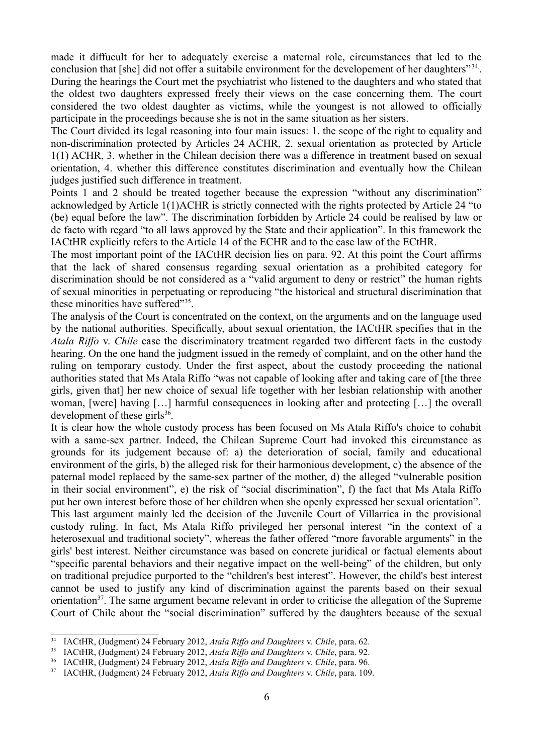made it diffucult for her to adequately exercise a maternal role, circumstances that led to the conclusion that [she] did not offer a suitabile environment for the developement of her daughters"<sup>34</sup>. During the hearings the Court met the psychiatrist who listened to the daughters and who stated that the oldest two daughters expressed freely their views on the case concerning them. The court considered the two oldest daughter as victims, while the youngest is not allowed to officially participate in the proceedings because she is not in the same situation as her sisters.

The Court divided its legal reasoning into four main issues: 1. the scope of the right to equality and non-discrimination protected by Articles 24 ACHR, 2. sexual orientation as protected by Article 1(1) ACHR, 3. whether in the Chilean decision there was a difference in treatment based on sexual orientation, 4. whether this difference constitutes discrimination and eventually how the Chilean judges justified such difference in treatment.

Points 1 and 2 should be treated together because the expression "without any discrimination" acknowledged by Article 1(1)ACHR is strictly connected with the rights protected by Article 24 "to (be) equal before the law". The discrimination forbidden by Article 24 could be realised by law or de facto with regard "to all laws approved by the State and their application". In this framework the IACtHR explicitly refers to the Article 14 of the ECHR and to the case law of the ECtHR.

The most important point of the IACtHR decision lies on para. 92. At this point the Court affirms that the lack of shared consensus regarding sexual orientation as a prohibited category for discrimination should be not considered as a "valid argument to deny or restrict" the human rights of sexual minorities in perpetuating or reproducing "the historical and structural discrimination that these minorities have suffered"<sup>[35](#page-5-1)</sup>.

The analysis of the Court is concentrated on the context, on the arguments and on the language used by the national authorities. Specifically, about sexual orientation, the IACtHR specifies that in the *Atala Riffo* v. *Chile* case the discriminatory treatment regarded two different facts in the custody hearing. On the one hand the judgment issued in the remedy of complaint, and on the other hand the ruling on temporary custody. Under the first aspect, about the custody proceeding the national authorities stated that Ms Atala Riffo "was not capable of looking after and taking care of [the three girls, given that] her new choice of sexual life together with her lesbian relationship with another woman, [were] having […] harmful consequences in looking after and protecting […] the overall development of these girls $36$ .

It is clear how the whole custody process has been focused on Ms Atala Riffo's choice to cohabit with a same-sex partner. Indeed, the Chilean Supreme Court had invoked this circumstance as grounds for its judgement because of: a) the deterioration of social, family and educational environment of the girls, b) the alleged risk for their harmonious development, c) the absence of the paternal model replaced by the same-sex partner of the mother, d) the alleged "vulnerable position in their social environment", e) the risk of "social discrimination", f) the fact that Ms Atala Riffo put her own interest before those of her children when she openly expressed her sexual orientation". This last argument mainly led the decision of the Juvenile Court of Villarrica in the provisional custody ruling. In fact, Ms Atala Riffo privileged her personal interest "in the context of a heterosexual and traditional society", whereas the father offered "more favorable arguments" in the girls' best interest. Neither circumstance was based on concrete juridical or factual elements about "specific parental behaviors and their negative impact on the well-being" of the children, but only on traditional prejudice purported to the "children's best interest". However, the child's best interest cannot be used to justify any kind of discrimination against the parents based on their sexual orientation<sup>[37](#page-5-3)</sup>. The same argument became relevant in order to criticise the allegation of the Supreme Court of Chile about the "social discrimination" suffered by the daughters because of the sexual

<span id="page-5-0"></span><sup>34</sup> IACtHR, (Judgment) 24 February 2012, *Atala Riffo and Daughters* v. *Chile*, para. 62.

<span id="page-5-1"></span><sup>35</sup> IACtHR, (Judgment) 24 February 2012, *Atala Riffo and Daughters* v. *Chile*, para. 92.

<span id="page-5-2"></span><sup>36</sup> IACtHR, (Judgment) 24 February 2012, *Atala Riffo and Daughters* v. *Chile*, para. 96.

<span id="page-5-3"></span><sup>37</sup> IACtHR, (Judgment) 24 February 2012, *Atala Riffo and Daughters* v. *Chile*, para. 109.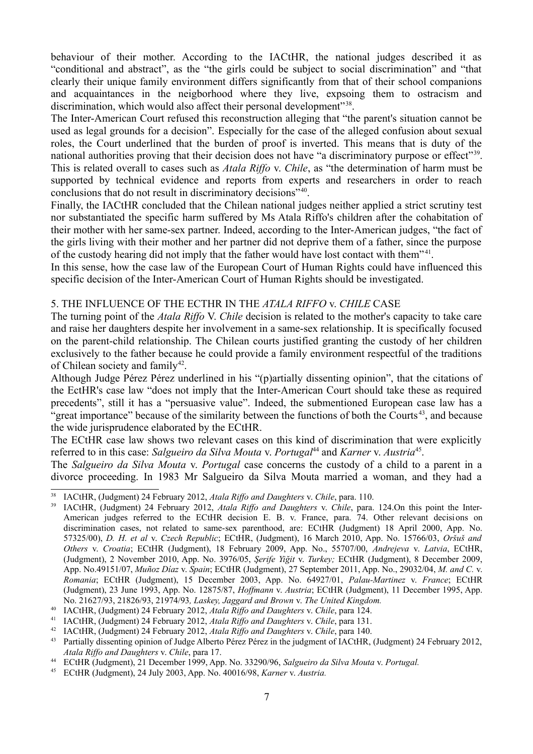behaviour of their mother. According to the IACtHR, the national judges described it as "conditional and abstract", as the "the girls could be subject to social discrimination" and "that clearly their unique family environment differs significantly from that of their school companions and acquaintances in the neigborhood where they live, expsoing them to ostracism and discrimination, which would also affect their personal development"<sup>[38](#page-6-0)</sup>.

The Inter-American Court refused this reconstruction alleging that "the parent's situation cannot be used as legal grounds for a decision". Especially for the case of the alleged confusion about sexual roles, the Court underlined that the burden of proof is inverted. This means that is duty of the national authorities proving that their decision does not have "a discriminatory purpose or effect"<sup>[39](#page-6-1)</sup>. This is related overall to cases such as *Atala Riffo* v. *Chile*, as "the determination of harm must be supported by technical evidence and reports from experts and researchers in order to reach conclusions that do not result in discriminatory decisions"[40](#page-6-2) .

Finally, the IACtHR concluded that the Chilean national judges neither applied a strict scrutiny test nor substantiated the specific harm suffered by Ms Atala Riffo's children after the cohabitation of their mother with her same-sex partner. Indeed, according to the Inter-American judges, "the fact of the girls living with their mother and her partner did not deprive them of a father, since the purpose of the custody hearing did not imply that the father would have lost contact with them"<sup>[41](#page-6-3)</sup>.

In this sense, how the case law of the European Court of Human Rights could have influenced this specific decision of the Inter-American Court of Human Rights should be investigated.

# 5. THE INFLUENCE OF THE ECTHR IN THE *ATALA RIFFO* v. *CHILE* CASE

The turning point of the *Atala Riffo* V. *Chile* decision is related to the mother's capacity to take care and raise her daughters despite her involvement in a same-sex relationship. It is specifically focused on the parent-child relationship. The Chilean courts justified granting the custody of her children exclusively to the father because he could provide a family environment respectful of the traditions of Chilean society and family<sup>[42](#page-6-4)</sup>.

Although Judge Pérez Pérez underlined in his "(p)artially dissenting opinion", that the citations of the EctHR's case law "does not imply that the Inter-American Court should take these as required precedents", still it has a "persuasive value". Indeed, the submentioned European case law has a "great importance" because of the similarity between the functions of both the Courts<sup>[43](#page-6-5)</sup>, and because the wide jurisprudence elaborated by the ECtHR.

The ECtHR case law shows two relevant cases on this kind of discrimination that were explicitly referred to in this case: *Salgueiro da Silva Mouta v. Portugal*<sup>[44](#page-6-6)</sup> and *Karner v. Austria*<sup>[45](#page-6-7)</sup>.

The *Salgueiro da Silva Mouta* v. *Portugal* case concerns the custody of a child to a parent in a divorce proceeding. In 1983 Mr Salgueiro da Silva Mouta married a woman, and they had a

<span id="page-6-0"></span><sup>38</sup> IACtHR, (Judgment) 24 February 2012, *Atala Riffo and Daughters* v. *Chile*, para. 110.

<span id="page-6-1"></span><sup>39</sup> IACtHR, (Judgment) 24 February 2012, *Atala Riffo and Daughters* v. *Chile*, para. 124.On this point the Inter-American judges referred to the ECtHR decision E. B. v. France, para. 74. Other relevant decisions on discrimination cases, not related to same-sex parenthood, are: ECtHR (Judgment) 18 April 2000, App. No. 57325/00), *D. H. et al* v. *Czech Republic*; ECtHR, (Judgment), 16 March 2010, App. No. 15766/03, *Oršuš and Others* v. *Croatia*; ECtHR (Judgment), 18 February 2009, App. No., 55707/00, *Andrejeva* v. *Latvia*, ECtHR, (Judgment), 2 November 2010, App. No. 3976/05, *Şerife Yiğit* v. *Turkey;* ECtHR (Judgment), 8 December 2009, App. No.49151/07, *Muñoz Díaz* v. *Spain*; ECtHR (Judgment), 27 September 2011, App. No., 29032/04, *M. and C.* v. *Romania*; ECtHR (Judgment), 15 December 2003, App. No. 64927/01, *Palau-Martinez* v. *France*; ECtHR (Judgment), 23 June 1993, App. No. 12875/87, *Hoffmann* v. *Austria*; ECtHR (Judgment), 11 December 1995, App. No. 21627/93, 21826/93, 21974/93*, Laskey, Jaggard and Brown* v. *The United Kingdom.*

<span id="page-6-2"></span><sup>40</sup> IACtHR, (Judgment) 24 February 2012, *Atala Riffo and Daughters* v. *Chile*, para 124.

<span id="page-6-3"></span><sup>41</sup> IACtHR, (Judgment) 24 February 2012, *Atala Riffo and Daughters* v. *Chile*, para 131.

<span id="page-6-4"></span><sup>42</sup> IACtHR, (Judgment) 24 February 2012, *Atala Riffo and Daughters* v. *Chile*, para 140.

<span id="page-6-5"></span><sup>43</sup> Partially dissenting opinion of Judge Alberto Pérez Pérez in the judgment of IACtHR, (Judgment) 24 February 2012, *Atala Riffo and Daughters* v. *Chile*, para 17.

<span id="page-6-6"></span><sup>44</sup> ECtHR (Judgment), 21 December 1999, App. No. 33290/96, *Salgueiro da Silva Mouta* v. *Portugal.*

<span id="page-6-7"></span><sup>45</sup> ECtHR (Judgment), 24 July 2003, App. No. 40016/98, *Karner* v. *Austria.*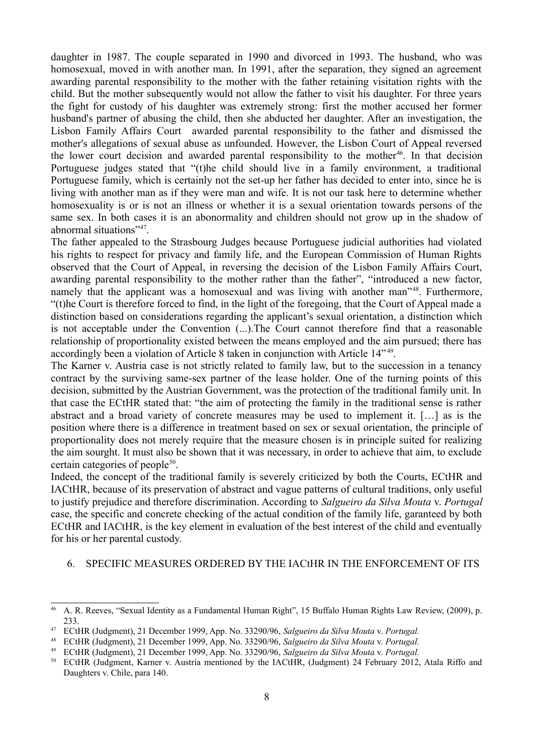daughter in 1987. The couple separated in 1990 and divorced in 1993. The husband, who was homosexual, moved in with another man. In 1991, after the separation, they signed an agreement awarding parental responsibility to the mother with the father retaining visitation rights with the child. But the mother subsequently would not allow the father to visit his daughter. For three years the fight for custody of his daughter was extremely strong: first the mother accused her former husband's partner of abusing the child, then she abducted her daughter. After an investigation, the Lisbon Family Affairs Court awarded parental responsibility to the father and dismissed the mother's allegations of sexual abuse as unfounded. However, the Lisbon Court of Appeal reversed the lower court decision and awarded parental responsibility to the mother<sup>[46](#page-7-0)</sup>. In that decision Portuguese judges stated that "(t)he child should live in a family environment, a traditional Portuguese family, which is certainly not the set-up her father has decided to enter into, since he is living with another man as if they were man and wife. It is not our task here to determine whether homosexuality is or is not an illness or whether it is a sexual orientation towards persons of the same sex. In both cases it is an abonormality and children should not grow up in the shadow of abnormal situations"[47](#page-7-1) .

The father appealed to the Strasbourg Judges because Portuguese judicial authorities had violated his rights to respect for privacy and family life, and the European Commission of Human Rights observed that the Court of Appeal, in reversing the decision of the Lisbon Family Affairs Court, awarding parental responsibility to the mother rather than the father", "introduced a new factor, namely that the applicant was a homosexual and was living with another man"[48](#page-7-2). Furthermore, "(t)he Court is therefore forced to find, in the light of the foregoing, that the Court of Appeal made a distinction based on considerations regarding the applicant's sexual orientation, a distinction which is not acceptable under the Convention (...).The Court cannot therefore find that a reasonable relationship of proportionality existed between the means employed and the aim pursued; there has accordingly been a violation of Article 8 taken in conjunction with Article 14<sup>7[49](#page-7-3)</sup>.

The Karner v. Austria case is not strictly related to family law, but to the succession in a tenancy contract by the surviving same-sex partner of the lease holder. One of the turning points of this decision, submitted by the Austrian Government, was the protection of the traditional family unit. In that case the ECtHR stated that: "the aim of protecting the family in the traditional sense is rather abstract and a broad variety of concrete measures may be used to implement it. […] as is the position where there is a difference in treatment based on sex or sexual orientation, the principle of proportionality does not merely require that the measure chosen is in principle suited for realizing the aim sourght. It must also be shown that it was necessary, in order to achieve that aim, to exclude certain categories of people<sup>[50](#page-7-4)</sup>.

Indeed, the concept of the traditional family is severely criticized by both the Courts, ECtHR and IACtHR, because of its preservation of abstract and vague patterns of cultural traditions, only useful to justify prejudice and therefore discrimination. According to *Salgueiro da Silva Mouta* v. *Portugal* case, the specific and concrete checking of the actual condition of the family life, garanteed by both ECtHR and IACtHR, is the key element in evaluation of the best interest of the child and eventually for his or her parental custody.

#### 6. SPECIFIC MEASURES ORDERED BY THE IACtHR IN THE ENFORCEMENT OF ITS

<span id="page-7-0"></span><sup>&</sup>lt;sup>46</sup> A. R. Reeves, "Sexual Identity as a Fundamental Human Right", 15 Buffalo Human Rights Law Review, (2009), p. 233.

<span id="page-7-1"></span><sup>47</sup> ECtHR (Judgment), 21 December 1999, App. No. 33290/96, *Salgueiro da Silva Mouta* v. *Portugal.*

<span id="page-7-2"></span><sup>48</sup> ECtHR (Judgment), 21 December 1999, App. No. 33290/96, *Salgueiro da Silva Mouta* v. *Portugal.*

<span id="page-7-3"></span><sup>49</sup> ECtHR (Judgment), 21 December 1999, App. No. 33290/96, *Salgueiro da Silva Mouta* v. *Portugal.*

<span id="page-7-4"></span><sup>50</sup> ECtHR (Judgment, Karner v. Austria mentioned by the IACtHR, (Judgment) 24 February 2012, Atala Riffo and Daughters v. Chile, para 140.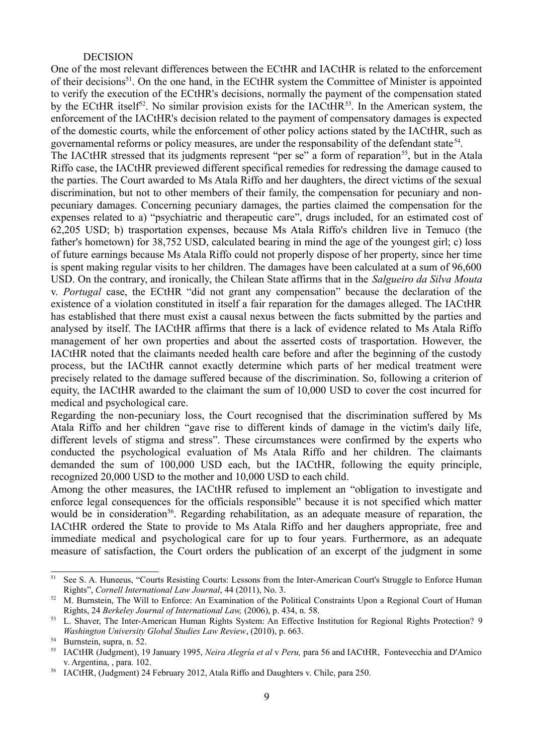#### DECISION

One of the most relevant differences between the ECtHR and IACtHR is related to the enforcement of their decisions<sup>[51](#page-8-0)</sup>. On the one hand, in the ECtHR system the Committee of Minister is appointed to verify the execution of the ECtHR's decisions, normally the payment of the compensation stated by the ECtHR itself<sup>[52](#page-8-1)</sup>. No similar provision exists for the IACtHR<sup>[53](#page-8-2)</sup>. In the American system, the enforcement of the IACtHR's decision related to the payment of compensatory damages is expected of the domestic courts, while the enforcement of other policy actions stated by the IACtHR, such as governamental reforms or policy measures, are under the responsability of the defendant state<sup>[54](#page-8-3)</sup>.

The IACtHR stressed that its judgments represent "per se" a form of reparation<sup>[55](#page-8-4)</sup>, but in the Atala Riffo case, the IACtHR previewed different specifical remedies for redressing the damage caused to the parties. The Court awarded to Ms Atala Riffo and her daughters, the direct victims of the sexual discrimination, but not to other members of their family, the compensation for pecuniary and nonpecuniary damages. Concerning pecuniary damages, the parties claimed the compensation for the expenses related to a) "psychiatric and therapeutic care", drugs included, for an estimated cost of 62,205 USD; b) trasportation expenses, because Ms Atala Riffo's children live in Temuco (the father's hometown) for 38,752 USD, calculated bearing in mind the age of the youngest girl; c) loss of future earnings because Ms Atala Riffo could not properly dispose of her property, since her time is spent making regular visits to her children. The damages have been calculated at a sum of 96,600 USD. On the contrary, and ironically, the Chilean State affirms that in the *Salgueiro da Silva Mouta* v. *Portugal* case, the ECtHR "did not grant any compensation" because the declaration of the existence of a violation constituted in itself a fair reparation for the damages alleged. The IACtHR has established that there must exist a causal nexus between the facts submitted by the parties and analysed by itself. The IACtHR affirms that there is a lack of evidence related to Ms Atala Riffo management of her own properties and about the asserted costs of trasportation. However, the IACtHR noted that the claimants needed health care before and after the beginning of the custody process, but the IACtHR cannot exactly determine which parts of her medical treatment were precisely related to the damage suffered because of the discrimination. So, following a criterion of equity, the IACtHR awarded to the claimant the sum of 10,000 USD to cover the cost incurred for medical and psychological care.

Regarding the non-pecuniary loss, the Court recognised that the discrimination suffered by Ms Atala Riffo and her children "gave rise to different kinds of damage in the victim's daily life, different levels of stigma and stress". These circumstances were confirmed by the experts who conducted the psychological evaluation of Ms Atala Riffo and her children. The claimants demanded the sum of 100,000 USD each, but the IACtHR, following the equity principle, recognized 20,000 USD to the mother and 10,000 USD to each child.

Among the other measures, the IACtHR refused to implement an "obligation to investigate and enforce legal consequences for the officials responsible" because it is not specified which matter would be in consideration<sup>[56](#page-8-5)</sup>. Regarding rehabilitation, as an adequate measure of reparation, the IACtHR ordered the State to provide to Ms Atala Riffo and her daughers appropriate, free and immediate medical and psychological care for up to four years. Furthermore, as an adequate measure of satisfaction, the Court orders the publication of an excerpt of the judgment in some

<span id="page-8-0"></span>See S. A. Huneeus, "Courts Resisting Courts: Lessons from the Inter-American Court's Struggle to Enforce Human Rights", *Cornell International Law Journal*, 44 (2011), No. 3.

<span id="page-8-1"></span> $52$  M. Burnstein, The Will to Enforce: An Examination of the Political Constraints Upon a Regional Court of Human Rights, 24 *Berkeley Journal of International Law,* (2006), p. 434, n. 58.

<span id="page-8-2"></span><sup>53</sup> L. Shaver, The Inter-American Human Rights System: An Effective Institution for Regional Rights Protection? 9 *Washington University Global Studies Law Review*, (2010), p. 663.

<span id="page-8-3"></span><sup>54</sup> Burnstein, supra, n. 52.

<span id="page-8-4"></span><sup>55</sup> IACtHR (Judgment), 19 January 1995, *Neira Alegría et al* v *Peru,* para 56 and IACtHR, Fontevecchia and D'Amico v. Argentina, , para. 102.

<span id="page-8-5"></span><sup>56</sup> IACtHR, (Judgment) 24 February 2012, Atala Riffo and Daughters v. Chile, para 250.